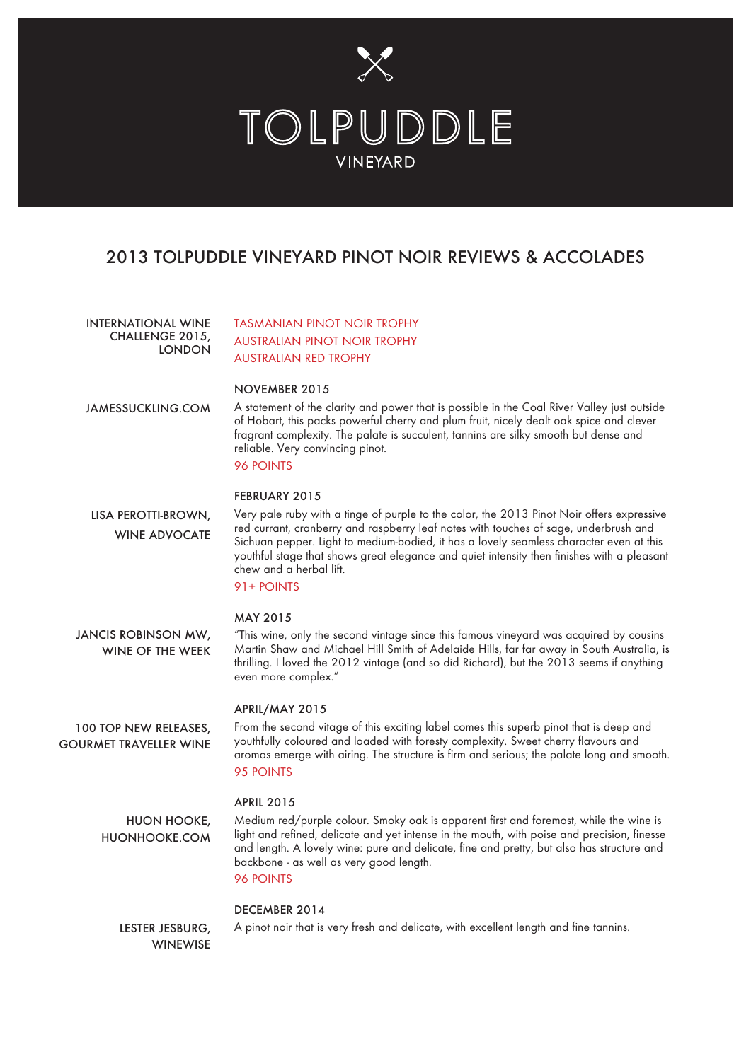

# 2013 TOLPUDDLE VINEYARD PINOT NOIR REVIEWS & ACCOLADES

TASMANIAN PINOT NOIR TROPHY AUSTRALIAN PINOT NOIR TROPHY AUSTRALIAN RED TROPHY NOVEMBER 2015 A statement of the clarity and power that is possible in the Coal River Valley just outside of Hobart, this packs powerful cherry and plum fruit, nicely dealt oak spice and clever fragrant complexity. The palate is succulent, tannins are silky smooth but dense and reliable. Very convincing pinot. 96 POINTS FEBRUARY 2015 Very pale ruby with a tinge of purple to the color, the 2013 Pinot Noir offers expressive red currant, cranberry and raspberry leaf notes with touches of sage, underbrush and Sichuan pepper. Light to medium-bodied, it has a lovely seamless character even at this youthful stage that shows great elegance and quiet intensity then finishes with a pleasant chew and a herbal lift. 91+ POINTS MAY 2015 "This wine, only the second vintage since this famous vineyard was acquired by cousins Martin Shaw and Michael Hill Smith of Adelaide Hills, far far away in South Australia, is thrilling. I loved the 2012 vintage (and so did Richard), but the 2013 seems if anything even more complex." APRIL/MAY 2015 From the second vitage of this exciting label comes this superb pinot that is deep and youthfully coloured and loaded with foresty complexity. Sweet cherry flavours and aromas emerge with airing. The structure is firm and serious; the palate long and smooth. 95 POINTS APRIL 2015 Medium red/purple colour. Smoky oak is apparent first and foremost, while the wine is light and refined, delicate and yet intense in the mouth, with poise and precision, finesse and length. A lovely wine: pure and delicate, fine and pretty, but also has structure and backbone - as well as very good length. 96 POINTS DECEMBER 2014 A pinot noir that is very fresh and delicate, with excellent length and fine tannins. INTERNATIONAL WINE CHALLENGE 2015, LONDON JAMESSUCKLING.COM LISA PEROTTI-BROWN, WINE ADVOCATE JANCIS ROBINSON MW, WINE OF THE WEEK 100 TOP NEW RELEASES, GOURMET TRAVELLER WINE HUON HOOKE, HUONHOOKE.COM LESTER JESBURG, WINEWISE